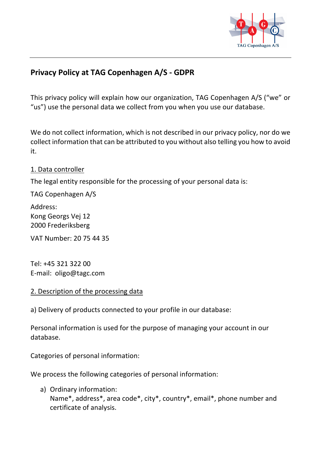

# **Privacy Policy at TAG Copenhagen A/S - GDPR**

This privacy policy will explain how our organization, TAG Copenhagen A/S ("we" or "us") use the personal data we collect from you when you use our database.

We do not collect information, which is not described in our privacy policy, nor do we collect information that can be attributed to you without also telling you how to avoid it.

#### 1. Data controller

The legal entity responsible for the processing of your personal data is:

TAG Copenhagen A/S

Address: Kong Georgs Vej 12 2000 Frederiksberg

VAT Number: 20 75 44 35

Tel: +45 321 322 00 E-mail: oligo@tagc.com

## 2. Description of the processing data

a) Delivery of products connected to your profile in our database:

Personal information is used for the purpose of managing your account in our database.

Categories of personal information:

We process the following categories of personal information:

a) Ordinary information: Name\*, address\*, area code\*, city\*, country\*, email\*, phone number and certificate of analysis.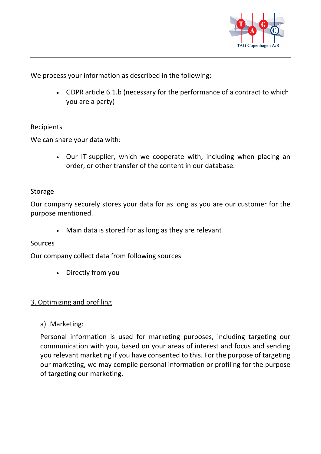

We process your information as described in the following:

• GDPR article 6.1.b (necessary for the performance of a contract to which you are a party)

## **Recipients**

We can share your data with:

• Our IT-supplier, which we cooperate with, including when placing an order, or other transfer of the content in our database.

#### Storage

Our company securely stores your data for as long as you are our customer for the purpose mentioned.

• Main data is stored for as long as they are relevant

## **Sources**

Our company collect data from following sources

• Directly from you

## 3. Optimizing and profiling

a) Marketing:

Personal information is used for marketing purposes, including targeting our communication with you, based on your areas of interest and focus and sending you relevant marketing if you have consented to this. For the purpose of targeting our marketing, we may compile personal information or profiling for the purpose of targeting our marketing.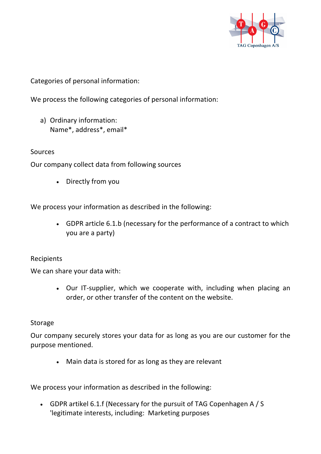

Categories of personal information:

We process the following categories of personal information:

a) Ordinary information: Name\*, address\*, email\*

Sources

Our company collect data from following sources

• Directly from you

We process your information as described in the following:

• GDPR article 6.1.b (necessary for the performance of a contract to which you are a party)

## Recipients

We can share your data with:

• Our IT-supplier, which we cooperate with, including when placing an order, or other transfer of the content on the website.

#### Storage

Our company securely stores your data for as long as you are our customer for the purpose mentioned.

• Main data is stored for as long as they are relevant

We process your information as described in the following:

• GDPR artikel 6.1.f (Necessary for the pursuit of TAG Copenhagen A / S 'legitimate interests, including: Marketing purposes